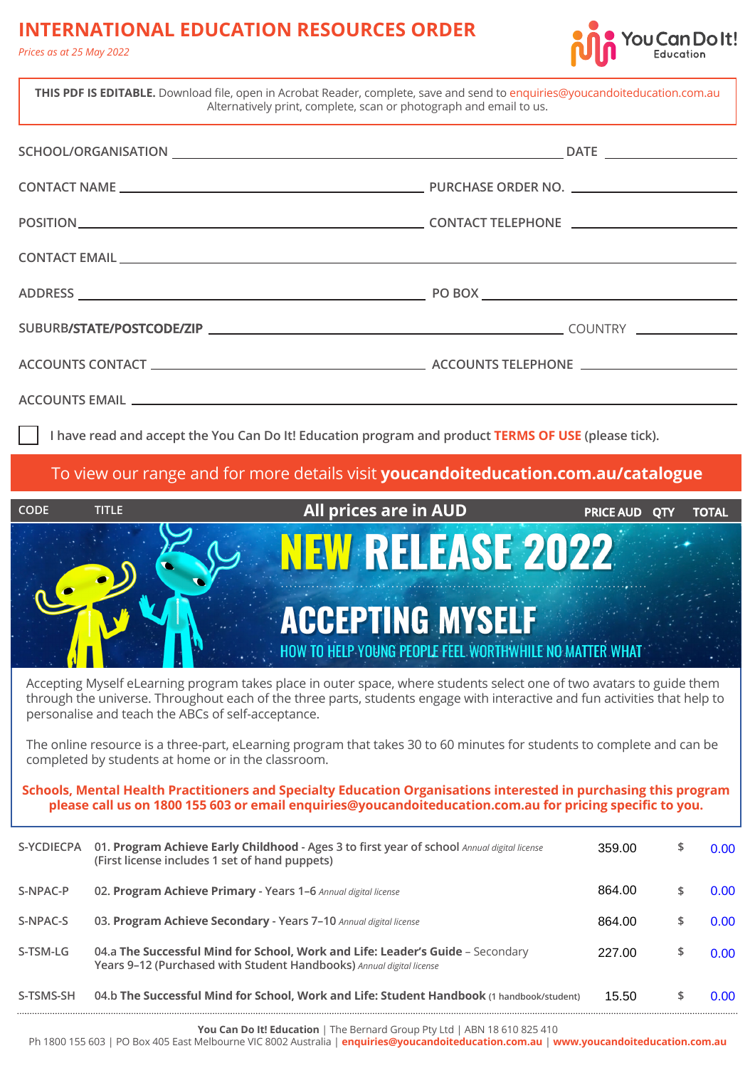## **INTERNATIONAL EDUCATION RESOURCES ORDER**

*Prices as at 25 May 2022*



864.00 \$ 0.00

| THIS PDF IS EDITABLE. Download file, open in Acrobat Reader, complete, save and send to enquiries@youcandoiteducation.com.au<br>Alternatively print, complete, scan or photograph and email to us. |                                                                                                                                                                                                                                                                                                                                                                      |  |  |  |  |  |  |  |
|----------------------------------------------------------------------------------------------------------------------------------------------------------------------------------------------------|----------------------------------------------------------------------------------------------------------------------------------------------------------------------------------------------------------------------------------------------------------------------------------------------------------------------------------------------------------------------|--|--|--|--|--|--|--|
|                                                                                                                                                                                                    |                                                                                                                                                                                                                                                                                                                                                                      |  |  |  |  |  |  |  |
|                                                                                                                                                                                                    |                                                                                                                                                                                                                                                                                                                                                                      |  |  |  |  |  |  |  |
|                                                                                                                                                                                                    |                                                                                                                                                                                                                                                                                                                                                                      |  |  |  |  |  |  |  |
|                                                                                                                                                                                                    |                                                                                                                                                                                                                                                                                                                                                                      |  |  |  |  |  |  |  |
|                                                                                                                                                                                                    |                                                                                                                                                                                                                                                                                                                                                                      |  |  |  |  |  |  |  |
|                                                                                                                                                                                                    |                                                                                                                                                                                                                                                                                                                                                                      |  |  |  |  |  |  |  |
|                                                                                                                                                                                                    |                                                                                                                                                                                                                                                                                                                                                                      |  |  |  |  |  |  |  |
|                                                                                                                                                                                                    |                                                                                                                                                                                                                                                                                                                                                                      |  |  |  |  |  |  |  |
|                                                                                                                                                                                                    | I have read and accept the You Can Do It! Education program and product TERMS OF USE (please tick).                                                                                                                                                                                                                                                                  |  |  |  |  |  |  |  |
| To view our range and for more details visit youcandoiteducation.com.au/catalogue                                                                                                                  |                                                                                                                                                                                                                                                                                                                                                                      |  |  |  |  |  |  |  |
|                                                                                                                                                                                                    |                                                                                                                                                                                                                                                                                                                                                                      |  |  |  |  |  |  |  |
| <b>CODE</b><br><b>TITLE</b>                                                                                                                                                                        | <b>All prices are in AUD</b><br><b>PRICE AUD QTY</b><br><b>TOTAL</b>                                                                                                                                                                                                                                                                                                 |  |  |  |  |  |  |  |
|                                                                                                                                                                                                    | <b>NEW RELEASE 2022</b><br><b>ACCEPTING MYSELF</b><br>HOW TO HELP YOUNG PEOPLE FEEL WORTHWHILE NO MATTER WHAT<br>Accepting Myself eLearning program takes place in outer space, where students select one of two avatars to guide them<br>through the universe. Throughout each of the three parts, students engage with interactive and fun activities that help to |  |  |  |  |  |  |  |
| personalise and teach the ABCs of self-acceptance.                                                                                                                                                 | The online resource is a three-part, eLearning program that takes 30 to 60 minutes for students to complete and can be                                                                                                                                                                                                                                               |  |  |  |  |  |  |  |
| completed by students at home or in the classroom.                                                                                                                                                 | Schools, Mental Health Practitioners and Specialty Education Organisations interested in purchasing this program<br>please call us on 1800 155 603 or email enquiries@youcandoiteducation.com.au for pricing specific to you.                                                                                                                                        |  |  |  |  |  |  |  |

**S-NPAC-S 03. Program Achieve Secondary - Years 7–10** *Annual digital license* **\$ S-TSM-LG** 04.a The Successful Mind for School, Work and Life: Leader's Guide – Secondary 227.00 \$ **Years 9–12 (Purchased with Student Handbooks)** *Annual digital license* 864.00 \$ 0.00  $227.00$  \$ 0.00

**S-NPAC-P 02. Program Achieve Primary - Years 1–6** *Annual digital license* **\$**

**You Can Do It! Education** | The Bernard Group Pty Ltd | ABN 18 610 825 410

Ph 1800 155 603 | PO Box 405 East Melbourne VIC 8002 Australia | **[enquiries@youcandoiteducation.com.au](mailto:enquiries@youcandoiteducation.com.au)** | **[www.youcandoiteducation.com.au](https://www.youcandoiteducation.com.au)**

**S-TSMS-SH 04.b The Successful Mind for School, Work and Life: Student Handbook (1 handbook/student) \$** 15.50 0.00